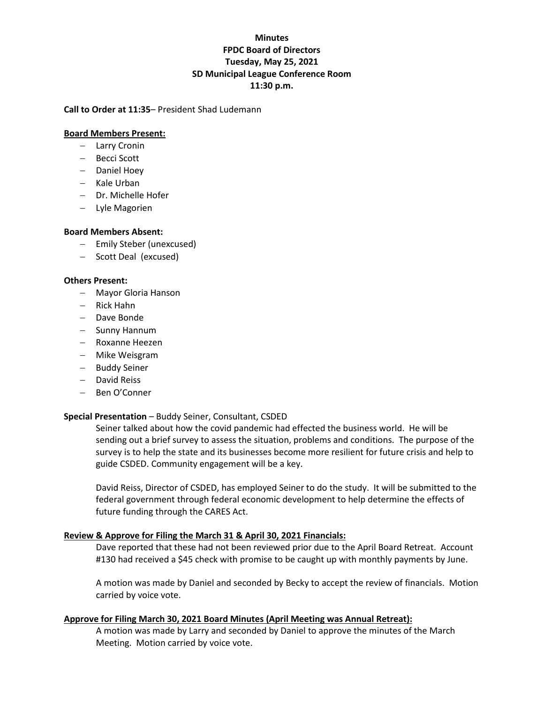# **Minutes FPDC Board of Directors Tuesday, May 25, 2021 SD Municipal League Conference Room 11:30 p.m.**

## **Call to Order at 11:35**– President Shad Ludemann

## **Board Members Present:**

- − Larry Cronin
- − Becci Scott
- − Daniel Hoey
- − Kale Urban
- − Dr. Michelle Hofer
- − Lyle Magorien

# **Board Members Absent:**

- − Emily Steber (unexcused)
- − Scott Deal (excused)

# **Others Present:**

- − Mayor Gloria Hanson
- − Rick Hahn
- − Dave Bonde
- − Sunny Hannum
- − Roxanne Heezen
- − Mike Weisgram
- − Buddy Seiner
- − David Reiss
- − Ben O'Conner

# **Special Presentation** – Buddy Seiner, Consultant, CSDED

Seiner talked about how the covid pandemic had effected the business world. He will be sending out a brief survey to assess the situation, problems and conditions. The purpose of the survey is to help the state and its businesses become more resilient for future crisis and help to guide CSDED. Community engagement will be a key.

David Reiss, Director of CSDED, has employed Seiner to do the study. It will be submitted to the federal government through federal economic development to help determine the effects of future funding through the CARES Act.

# **Review & Approve for Filing the March 31 & April 30, 2021 Financials:**

Dave reported that these had not been reviewed prior due to the April Board Retreat. Account #130 had received a \$45 check with promise to be caught up with monthly payments by June.

A motion was made by Daniel and seconded by Becky to accept the review of financials. Motion carried by voice vote.

# **Approve for Filing March 30, 2021 Board Minutes (April Meeting was Annual Retreat):**

A motion was made by Larry and seconded by Daniel to approve the minutes of the March Meeting. Motion carried by voice vote.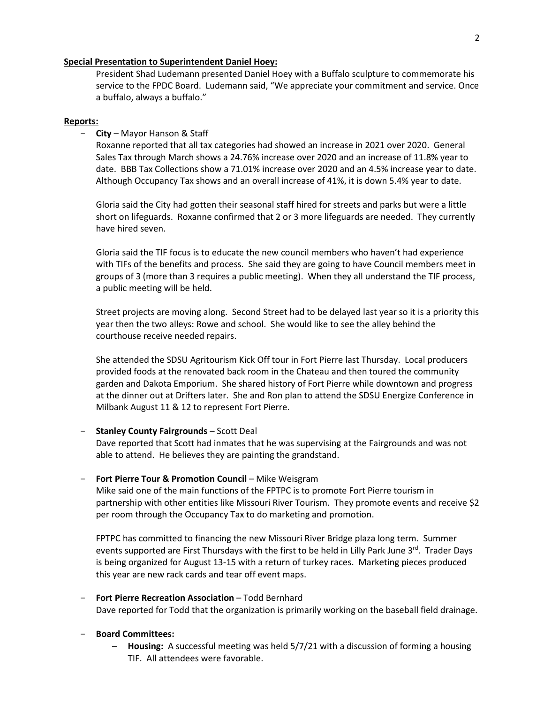#### **Special Presentation to Superintendent Daniel Hoey:**

President Shad Ludemann presented Daniel Hoey with a Buffalo sculpture to commemorate his service to the FPDC Board. Ludemann said, "We appreciate your commitment and service. Once a buffalo, always a buffalo."

#### **Reports:**

#### - **City** – Mayor Hanson & Staff

Roxanne reported that all tax categories had showed an increase in 2021 over 2020. General Sales Tax through March shows a 24.76% increase over 2020 and an increase of 11.8% year to date. BBB Tax Collections show a 71.01% increase over 2020 and an 4.5% increase year to date. Although Occupancy Tax shows and an overall increase of 41%, it is down 5.4% year to date.

Gloria said the City had gotten their seasonal staff hired for streets and parks but were a little short on lifeguards. Roxanne confirmed that 2 or 3 more lifeguards are needed. They currently have hired seven.

Gloria said the TIF focus is to educate the new council members who haven't had experience with TIFs of the benefits and process. She said they are going to have Council members meet in groups of 3 (more than 3 requires a public meeting). When they all understand the TIF process, a public meeting will be held.

Street projects are moving along. Second Street had to be delayed last year so it is a priority this year then the two alleys: Rowe and school. She would like to see the alley behind the courthouse receive needed repairs.

She attended the SDSU Agritourism Kick Off tour in Fort Pierre last Thursday. Local producers provided foods at the renovated back room in the Chateau and then toured the community garden and Dakota Emporium. She shared history of Fort Pierre while downtown and progress at the dinner out at Drifters later. She and Ron plan to attend the SDSU Energize Conference in Milbank August 11 & 12 to represent Fort Pierre.

#### - **Stanley County Fairgrounds** – Scott Deal

Dave reported that Scott had inmates that he was supervising at the Fairgrounds and was not able to attend. He believes they are painting the grandstand.

#### Fort Pierre Tour & Promotion Council – Mike Weisgram

Mike said one of the main functions of the FPTPC is to promote Fort Pierre tourism in partnership with other entities like Missouri River Tourism. They promote events and receive \$2 per room through the Occupancy Tax to do marketing and promotion.

FPTPC has committed to financing the new Missouri River Bridge plaza long term. Summer events supported are First Thursdays with the first to be held in Lilly Park June 3<sup>rd</sup>. Trader Days is being organized for August 13-15 with a return of turkey races. Marketing pieces produced this year are new rack cards and tear off event maps.

- **Fort Pierre Recreation Association** – Todd Bernhard Dave reported for Todd that the organization is primarily working on the baseball field drainage.

#### - **Board Committees:**

− **Housing:** A successful meeting was held 5/7/21 with a discussion of forming a housing TIF. All attendees were favorable.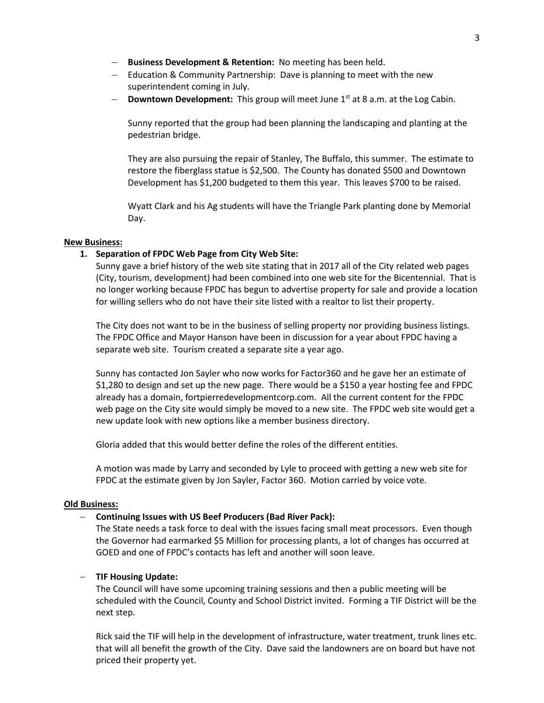- − **Business Development & Retention:** No meeting has been held.
- − Education & Community Partnership: Dave is planning to meet with the new superintendent coming in July.
- − **Downtown Development:** This group will meet June 1st at 8 a.m. at the Log Cabin.

Sunny reported that the group had been planning the landscaping and planting at the pedestrian bridge.

They are also pursuing the repair of Stanley, The Buffalo, this summer. The estimate to restore the fiberglass statue is \$2,500. The County has donated \$500 and Downtown Development has \$1,200 budgeted to them this year. This leaves \$700 to be raised.

Wyatt Clark and his Ag students will have the Triangle Park planting done by Memorial Day.

### **New Business:**

## **1. Separation of FPDC Web Page from City Web Site:**

Sunny gave a brief history of the web site stating that in 2017 all of the City related web pages (City, tourism, development) had been combined into one web site for the Bicentennial. That is no longer working because FPDC has begun to advertise property for sale and provide a location for willing sellers who do not have their site listed with a realtor to list their property.

The City does not want to be in the business of selling property nor providing business listings. The FPDC Office and Mayor Hanson have been in discussion for a year about FPDC having a separate web site. Tourism created a separate site a year ago.

Sunny has contacted Jon Sayler who now works for Factor360 and he gave her an estimate of \$1,280 to design and set up the new page. There would be a \$150 a year hosting fee and FPDC already has a domain, fortpierredevelopmentcorp.com. All the current content for the FPDC web page on the City site would simply be moved to a new site. The FPDC web site would get a new update look with new options like a member business directory.

Gloria added that this would better define the roles of the different entities.

A motion was made by Larry and seconded by Lyle to proceed with getting a new web site for FPDC at the estimate given by Jon Sayler, Factor 360. Motion carried by voice vote.

### **Old Business:**

## − **Continuing Issues with US Beef Producers (Bad River Pack):**

The State needs a task force to deal with the issues facing small meat processors. Even though the Governor had earmarked \$5 Million for processing plants, a lot of changes has occurred at GOED and one of FPDC's contacts has left and another will soon leave.

### − **TIF Housing Update:**

The Council will have some upcoming training sessions and then a public meeting will be scheduled with the Council, County and School District invited. Forming a TIF District will be the next step.

Rick said the TIF will help in the development of infrastructure, water treatment, trunk lines etc. that will all benefit the growth of the City. Dave said the landowners are on board but have not priced their property yet.